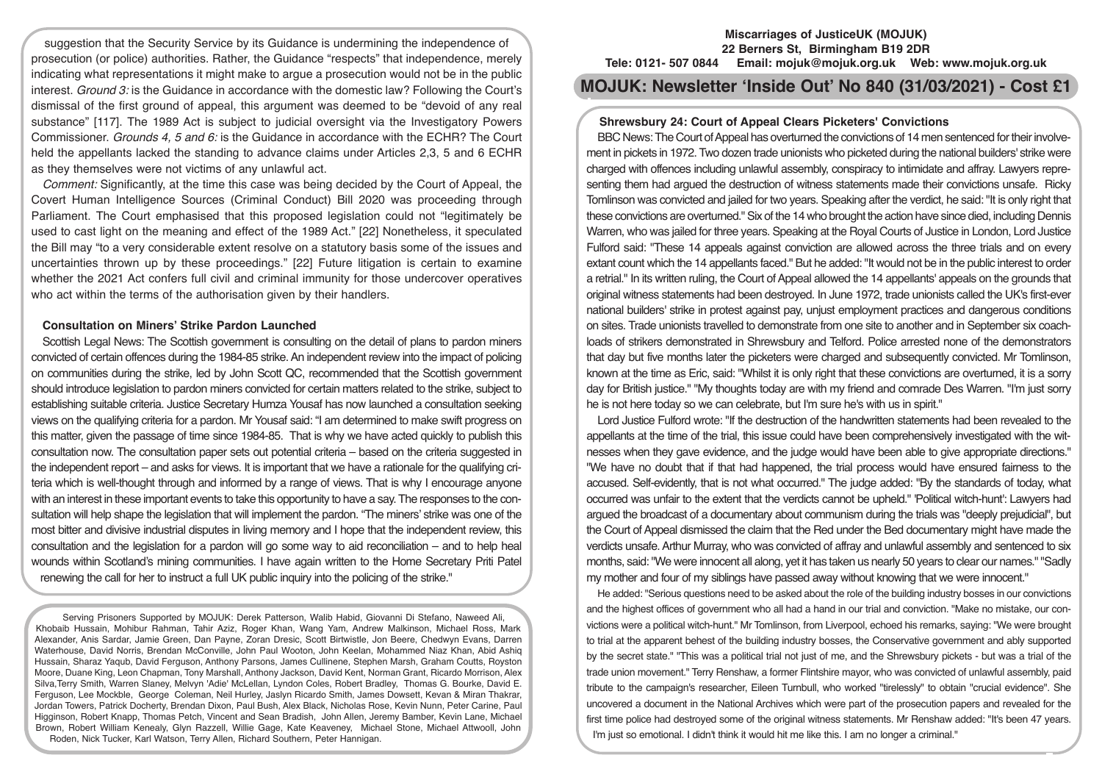suggestion that the Security Service by its Guidance is undermining the independence of prosecution (or police) authorities. Rather, the Guidance "respects" that independence, merely indicating what representations it might make to argue a prosecution would not be in the public interest. *Ground 3:* is the Guidance in accordance with the domestic law? Following the Court's dismissal of the first ground of appeal, this argument was deemed to be "devoid of any real substance" [117]. The 1989 Act is subject to judicial oversight via the Investigatory Powers Commissioner. *Grounds 4, 5 and 6:* is the Guidance in accordance with the ECHR? The Court held the appellants lacked the standing to advance claims under Articles 2,3, 5 and 6 ECHR as they themselves were not victims of any unlawful act.

*Comment:* Significantly, at the time this case was being decided by the Court of Appeal, the Covert Human Intelligence Sources (Criminal Conduct) Bill 2020 was proceeding through Parliament. The Court emphasised that this proposed legislation could not "legitimately be used to cast light on the meaning and effect of the 1989 Act." [22] Nonetheless, it speculated the Bill may "to a very considerable extent resolve on a statutory basis some of the issues and uncertainties thrown up by these proceedings." [22] Future litigation is certain to examine whether the 2021 Act confers full civil and criminal immunity for those undercover operatives who act within the terms of the authorisation given by their handlers.

#### **Consultation on Miners' Strike Pardon Launched**

Scottish Legal News: The Scottish government is consulting on the detail of plans to pardon miners convicted of certain offences during the 1984-85 strike. An independent review into the impact of policing on communities during the strike, led by John Scott QC, recommended that the Scottish government should introduce legislation to pardon miners convicted for certain matters related to the strike, subject to establishing suitable criteria. Justice Secretary Humza Yousaf has now launched a consultation seeking views on the qualifying criteria for a pardon. Mr Yousaf said: "I am determined to make swift progress on this matter, given the passage of time since 1984-85. That is why we have acted quickly to publish this consultation now. The consultation paper sets out potential criteria – based on the criteria suggested in the independent report – and asks for views. It is important that we have a rationale for the qualifying criteria which is well-thought through and informed by a range of views. That is why I encourage anyone with an interest in these important events to take this opportunity to have a say. The responses to the consultation will help shape the legislation that will implement the pardon. "The miners' strike was one of the most bitter and divisive industrial disputes in living memory and I hope that the independent review, this consultation and the legislation for a pardon will go some way to aid reconciliation – and to help heal wounds within Scotland's mining communities. I have again written to the Home Secretary Priti Patel renewing the call for her to instruct a full UK public inquiry into the policing of the strike."

Serving Prisoners Supported by MOJUK: Derek Patterson, Walib Habid, Giovanni Di Stefano, Naweed Ali, Khobaib Hussain, Mohibur Rahman, Tahir Aziz, Roger Khan, Wang Yam, Andrew Malkinson, Michael Ross, Mark Alexander, Anis Sardar, Jamie Green, Dan Payne, Zoran Dresic, Scott Birtwistle, Jon Beere, Chedwyn Evans, Darren Waterhouse, David Norris, Brendan McConville, John Paul Wooton, John Keelan, Mohammed Niaz Khan, Abid Ashiq Hussain, Sharaz Yaqub, David Ferguson, Anthony Parsons, James Cullinene, Stephen Marsh, Graham Coutts, Royston Moore, Duane King, Leon Chapman, Tony Marshall, Anthony Jackson, David Kent, Norman Grant, Ricardo Morrison, Alex Silva,Terry Smith, Warren Slaney, Melvyn 'Adie' McLellan, Lyndon Coles, Robert Bradley, Thomas G. Bourke, David E. Ferguson, Lee Mockble, George Coleman, Neil Hurley, Jaslyn Ricardo Smith, James Dowsett, Kevan & Miran Thakrar, Jordan Towers, Patrick Docherty, Brendan Dixon, Paul Bush, Alex Black, Nicholas Rose, Kevin Nunn, Peter Carine, Paul Higginson, Robert Knapp, Thomas Petch, Vincent and Sean Bradish, John Allen, Jeremy Bamber, Kevin Lane, Michael Brown, Robert William Kenealy, Glyn Razzell, Willie Gage, Kate Keaveney, Michael Stone, Michael Attwooll, John Roden, Nick Tucker, Karl Watson, Terry Allen, Richard Southern, Peter Hannigan.

#### **Miscarriages of JusticeUK (MOJUK) 22 Berners St, Birmingham B19 2DR Tele: 0121- 507 0844 Email: mojuk@mojuk.org.uk Web: www.mojuk.org.uk**

**MOJUK: Newsletter 'Inside Out' No 840 (31/03/2021) - Cost £1**

# **Shrewsbury 24: Court of Appeal Clears Picketers' Convictions**

BBC News: The Court of Appeal has overturned the convictions of 14 men sentenced for their involvement in pickets in 1972. Two dozen trade unionists who picketed during the national builders' strike were charged with offences including unlawful assembly, conspiracy to intimidate and affray. Lawyers representing them had argued the destruction of witness statements made their convictions unsafe. Ricky Tomlinson was convicted and jailed for two years. Speaking after the verdict, he said: "It is only right that these convictions are overturned." Six of the 14 who brought the action have since died, including Dennis Warren, who was jailed for three years. Speaking at the Royal Courts of Justice in London, Lord Justice Fulford said: "These 14 appeals against conviction are allowed across the three trials and on every extant count which the 14 appellants faced." But he added: "It would not be in the public interest to order a retrial." In its written ruling, the Court of Appeal allowed the 14 appellants' appeals on the grounds that original witness statements had been destroyed. In June 1972, trade unionists called the UK's first-ever national builders' strike in protest against pay, unjust employment practices and dangerous conditions on sites. Trade unionists travelled to demonstrate from one site to another and in September six coachloads of strikers demonstrated in Shrewsbury and Telford. Police arrested none of the demonstrators that day but five months later the picketers were charged and subsequently convicted. Mr Tomlinson, known at the time as Eric, said: "Whilst it is only right that these convictions are overturned, it is a sorry day for British justice." "My thoughts today are with my friend and comrade Des Warren. "I'm just sorry he is not here today so we can celebrate, but I'm sure he's with us in spirit."

Lord Justice Fulford wrote: "If the destruction of the handwritten statements had been revealed to the appellants at the time of the trial, this issue could have been comprehensively investigated with the witnesses when they gave evidence, and the judge would have been able to give appropriate directions." "We have no doubt that if that had happened, the trial process would have ensured fairness to the accused. Self-evidently, that is not what occurred." The judge added: "By the standards of today, what occurred was unfair to the extent that the verdicts cannot be upheld." 'Political witch-hunt': Lawyers had argued the broadcast of a documentary about communism during the trials was "deeply prejudicial", but the Court of Appeal dismissed the claim that the Red under the Bed documentary might have made the verdicts unsafe. Arthur Murray, who was convicted of affray and unlawful assembly and sentenced to six months, said: "We were innocent all along, yet it has taken us nearly 50 years to clear our names." "Sadly my mother and four of my siblings have passed away without knowing that we were innocent."

He added: "Serious questions need to be asked about the role of the building industry bosses in our convictions and the highest offices of government who all had a hand in our trial and conviction. "Make no mistake, our convictions were a political witch-hunt." Mr Tomlinson, from Liverpool, echoed his remarks, saying: "We were brought to trial at the apparent behest of the building industry bosses, the Conservative government and ably supported by the secret state." "This was a political trial not just of me, and the Shrewsbury pickets - but was a trial of the trade union movement." Terry Renshaw, a former Flintshire mayor, who was convicted of unlawful assembly, paid tribute to the campaign's researcher, Eileen Turnbull, who worked "tirelessly" to obtain "crucial evidence". She uncovered a document in the National Archives which were part of the prosecution papers and revealed for the first time police had destroyed some of the original witness statements. Mr Renshaw added: "It's been 47 years. I'm just so emotional. I didn't think it would hit me like this. I am no longer a criminal."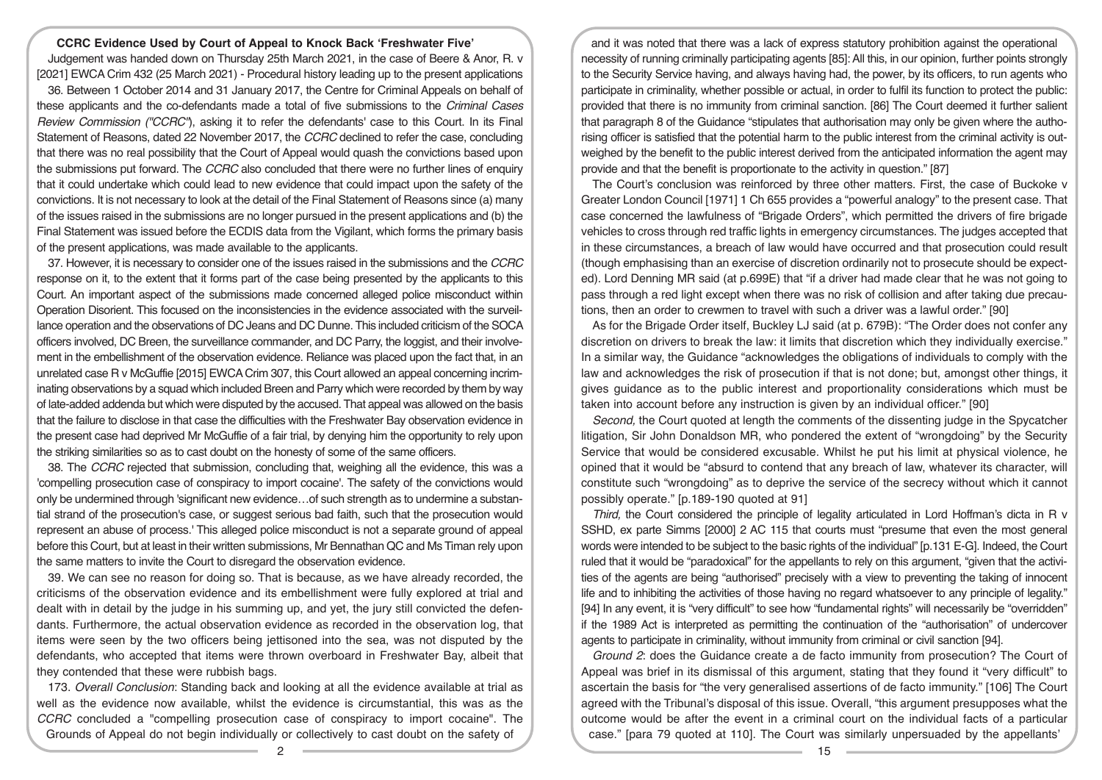#### **CCRC Evidence Used by Court of Appeal to Knock Back 'Freshwater Five'**

Judgement was handed down on Thursday 25th March 2021, in the case of Beere & Anor, R. v [2021] EWCA Crim 432 (25 March 2021) - Procedural history leading up to the present applications

36. Between 1 October 2014 and 31 January 2017, the Centre for Criminal Appeals on behalf of these applicants and the co-defendants made a total of five submissions to the *Criminal Cases Review Commission ("CCRC"*), asking it to refer the defendants' case to this Court. In its Final Statement of Reasons, dated 22 November 2017, the *CCRC* declined to refer the case, concluding that there was no real possibility that the Court of Appeal would quash the convictions based upon the submissions put forward. The *CCRC* also concluded that there were no further lines of enquiry that it could undertake which could lead to new evidence that could impact upon the safety of the convictions. It is not necessary to look at the detail of the Final Statement of Reasons since (a) many of the issues raised in the submissions are no longer pursued in the present applications and (b) the Final Statement was issued before the ECDIS data from the Vigilant, which forms the primary basis of the present applications, was made available to the applicants.

37. However, it is necessary to consider one of the issues raised in the submissions and the *CCRC* response on it, to the extent that it forms part of the case being presented by the applicants to this Court. An important aspect of the submissions made concerned alleged police misconduct within Operation Disorient. This focused on the inconsistencies in the evidence associated with the surveillance operation and the observations of DC Jeans and DC Dunne. This included criticism of the SOCA officers involved, DC Breen, the surveillance commander, and DC Parry, the loggist, and their involvement in the embellishment of the observation evidence. Reliance was placed upon the fact that, in an unrelated case R v McGuffie [2015] EWCA Crim 307, this Court allowed an appeal concerning incriminating observations by a squad which included Breen and Parry which were recorded by them by way of late-added addenda but which were disputed by the accused. That appeal was allowed on the basis that the failure to disclose in that case the difficulties with the Freshwater Bay observation evidence in the present case had deprived Mr McGuffie of a fair trial, by denying him the opportunity to rely upon the striking similarities so as to cast doubt on the honesty of some of the same officers.

38. The *CCRC* rejected that submission, concluding that, weighing all the evidence, this was a 'compelling prosecution case of conspiracy to import cocaine'. The safety of the convictions would only be undermined through 'significant new evidence…of such strength as to undermine a substantial strand of the prosecution's case, or suggest serious bad faith, such that the prosecution would represent an abuse of process.' This alleged police misconduct is not a separate ground of appeal before this Court, but at least in their written submissions, Mr Bennathan QC and Ms Timan rely upon the same matters to invite the Court to disregard the observation evidence.

39. We can see no reason for doing so. That is because, as we have already recorded, the criticisms of the observation evidence and its embellishment were fully explored at trial and dealt with in detail by the judge in his summing up, and yet, the jury still convicted the defendants. Furthermore, the actual observation evidence as recorded in the observation log, that items were seen by the two officers being jettisoned into the sea, was not disputed by the defendants, who accepted that items were thrown overboard in Freshwater Bay, albeit that they contended that these were rubbish bags.

173. *Overall Conclusion*: Standing back and looking at all the evidence available at trial as well as the evidence now available, whilst the evidence is circumstantial, this was as the *CCRC* concluded a "compelling prosecution case of conspiracy to import cocaine". The Grounds of Appeal do not begin individually or collectively to cast doubt on the safety of

and it was noted that there was a lack of express statutory prohibition against the operational necessity of running criminally participating agents [85]: All this, in our opinion, further points strongly to the Security Service having, and always having had, the power, by its officers, to run agents who participate in criminality, whether possible or actual, in order to fulfil its function to protect the public: provided that there is no immunity from criminal sanction. [86] The Court deemed it further salient that paragraph 8 of the Guidance "stipulates that authorisation may only be given where the authorising officer is satisfied that the potential harm to the public interest from the criminal activity is outweighed by the benefit to the public interest derived from the anticipated information the agent may provide and that the benefit is proportionate to the activity in question." [87]

The Court's conclusion was reinforced by three other matters. First, the case of Buckoke v Greater London Council [1971] 1 Ch 655 provides a "powerful analogy" to the present case. That case concerned the lawfulness of "Brigade Orders", which permitted the drivers of fire brigade vehicles to cross through red traffic lights in emergency circumstances. The judges accepted that in these circumstances, a breach of law would have occurred and that prosecution could result (though emphasising than an exercise of discretion ordinarily not to prosecute should be expected). Lord Denning MR said (at p.699E) that "if a driver had made clear that he was not going to pass through a red light except when there was no risk of collision and after taking due precautions, then an order to crewmen to travel with such a driver was a lawful order." [90]

As for the Brigade Order itself, Buckley LJ said (at p. 679B): "The Order does not confer any discretion on drivers to break the law: it limits that discretion which they individually exercise." In a similar way, the Guidance "acknowledges the obligations of individuals to comply with the law and acknowledges the risk of prosecution if that is not done; but, amongst other things, it gives guidance as to the public interest and proportionality considerations which must be taken into account before any instruction is given by an individual officer." [90]

*Second,* the Court quoted at length the comments of the dissenting judge in the Spycatcher litigation, Sir John Donaldson MR, who pondered the extent of "wrongdoing" by the Security Service that would be considered excusable. Whilst he put his limit at physical violence, he opined that it would be "absurd to contend that any breach of law, whatever its character, will constitute such "wrongdoing" as to deprive the service of the secrecy without which it cannot possibly operate." [p.189-190 quoted at 91]

*Third,* the Court considered the principle of legality articulated in Lord Hoffman's dicta in R v SSHD, ex parte Simms [2000] 2 AC 115 that courts must "presume that even the most general words were intended to be subject to the basic rights of the individual" [p.131 E-G]. Indeed, the Court ruled that it would be "paradoxical" for the appellants to rely on this argument, "given that the activities of the agents are being "authorised" precisely with a view to preventing the taking of innocent life and to inhibiting the activities of those having no regard whatsoever to any principle of legality." [94] In any event, it is "very difficult" to see how "fundamental rights" will necessarily be "overridden" if the 1989 Act is interpreted as permitting the continuation of the "authorisation" of undercover agents to participate in criminality, without immunity from criminal or civil sanction [94].

*Ground 2*: does the Guidance create a de facto immunity from prosecution? The Court of Appeal was brief in its dismissal of this argument, stating that they found it "very difficult" to ascertain the basis for "the very generalised assertions of de facto immunity." [106] The Court agreed with the Tribunal's disposal of this issue. Overall, "this argument presupposes what the outcome would be after the event in a criminal court on the individual facts of a particular case." [para 79 quoted at 110]. The Court was similarly unpersuaded by the appellants'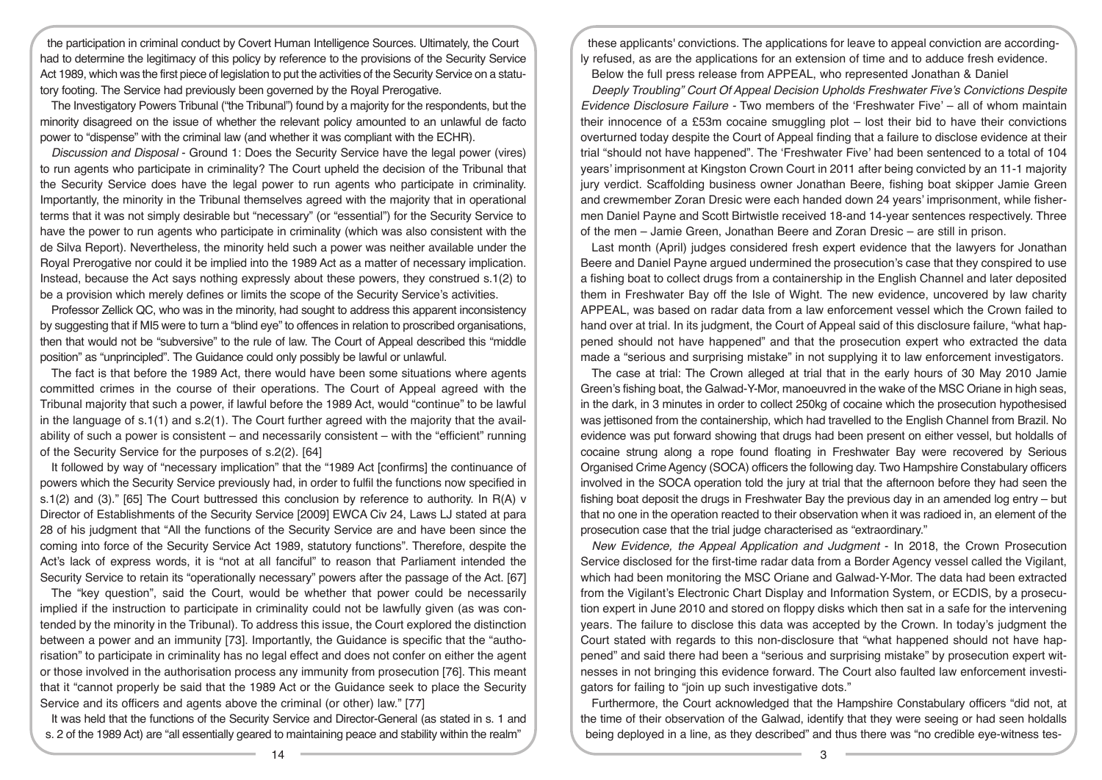the participation in criminal conduct by Covert Human Intelligence Sources. Ultimately, the Court had to determine the legitimacy of this policy by reference to the provisions of the Security Service Act 1989, which was the first piece of legislation to put the activities of the Security Service on a statutory footing. The Service had previously been governed by the Royal Prerogative.

The Investigatory Powers Tribunal ("the Tribunal") found by a majority for the respondents, but the minority disagreed on the issue of whether the relevant policy amounted to an unlawful de facto power to "dispense" with the criminal law (and whether it was compliant with the ECHR).

*Discussion and Disposal* - Ground 1: Does the Security Service have the legal power (vires) to run agents who participate in criminality? The Court upheld the decision of the Tribunal that the Security Service does have the legal power to run agents who participate in criminality. Importantly, the minority in the Tribunal themselves agreed with the majority that in operational terms that it was not simply desirable but "necessary" (or "essential") for the Security Service to have the power to run agents who participate in criminality (which was also consistent with the de Silva Report). Nevertheless, the minority held such a power was neither available under the Royal Prerogative nor could it be implied into the 1989 Act as a matter of necessary implication. Instead, because the Act says nothing expressly about these powers, they construed s.1(2) to be a provision which merely defines or limits the scope of the Security Service's activities.

Professor Zellick QC, who was in the minority, had sought to address this apparent inconsistency by suggesting that if MI5 were to turn a "blind eye" to offences in relation to proscribed organisations, then that would not be "subversive" to the rule of law. The Court of Appeal described this "middle position" as "unprincipled". The Guidance could only possibly be lawful or unlawful.

The fact is that before the 1989 Act, there would have been some situations where agents committed crimes in the course of their operations. The Court of Appeal agreed with the Tribunal majority that such a power, if lawful before the 1989 Act, would "continue" to be lawful in the language of s.1(1) and s.2(1). The Court further agreed with the majority that the availability of such a power is consistent – and necessarily consistent – with the "efficient" running of the Security Service for the purposes of s.2(2). [64]

It followed by way of "necessary implication" that the "1989 Act [confirms] the continuance of powers which the Security Service previously had, in order to fulfil the functions now specified in s.1(2) and (3)." [65] The Court buttressed this conclusion by reference to authority. In R(A) v Director of Establishments of the Security Service [2009] EWCA Civ 24, Laws LJ stated at para 28 of his judgment that "All the functions of the Security Service are and have been since the coming into force of the Security Service Act 1989, statutory functions". Therefore, despite the Act's lack of express words, it is "not at all fanciful" to reason that Parliament intended the Security Service to retain its "operationally necessary" powers after the passage of the Act. [67]

The "key question", said the Court, would be whether that power could be necessarily implied if the instruction to participate in criminality could not be lawfully given (as was contended by the minority in the Tribunal). To address this issue, the Court explored the distinction between a power and an immunity [73]. Importantly, the Guidance is specific that the "authorisation" to participate in criminality has no legal effect and does not confer on either the agent or those involved in the authorisation process any immunity from prosecution [76]. This meant that it "cannot properly be said that the 1989 Act or the Guidance seek to place the Security Service and its officers and agents above the criminal (or other) law." [77]

It was held that the functions of the Security Service and Director-General (as stated in s. 1 and s. 2 of the 1989 Act) are "all essentially geared to maintaining peace and stability within the realm"

these applicants' convictions. The applications for leave to appeal conviction are accordingly refused, as are the applications for an extension of time and to adduce fresh evidence. Below the full press release from APPEAL, who represented Jonathan & Daniel

*Deeply Troubling" Court Of Appeal Decision Upholds Freshwater Five's Convictions Despite Evidence Disclosure Failure -* Two members of the 'Freshwater Five' – all of whom maintain their innocence of a £53m cocaine smuggling plot – lost their bid to have their convictions overturned today despite the Court of Appeal finding that a failure to disclose evidence at their trial "should not have happened". The 'Freshwater Five' had been sentenced to a total of 104 years' imprisonment at Kingston Crown Court in 2011 after being convicted by an 11-1 majority jury verdict. Scaffolding business owner Jonathan Beere, fishing boat skipper Jamie Green and crewmember Zoran Dresic were each handed down 24 years' imprisonment, while fishermen Daniel Payne and Scott Birtwistle received 18-and 14-year sentences respectively. Three of the men – Jamie Green, Jonathan Beere and Zoran Dresic – are still in prison.

Last month (April) judges considered fresh expert evidence that the lawyers for Jonathan Beere and Daniel Payne argued undermined the prosecution's case that they conspired to use a fishing boat to collect drugs from a containership in the English Channel and later deposited them in Freshwater Bay off the Isle of Wight. The new evidence, uncovered by law charity APPEAL, was based on radar data from a law enforcement vessel which the Crown failed to hand over at trial. In its judgment, the Court of Appeal said of this disclosure failure, "what happened should not have happened" and that the prosecution expert who extracted the data made a "serious and surprising mistake" in not supplying it to law enforcement investigators.

The case at trial: The Crown alleged at trial that in the early hours of 30 May 2010 Jamie Green's fishing boat, the Galwad-Y-Mor, manoeuvred in the wake of the MSC Oriane in high seas, in the dark, in 3 minutes in order to collect 250kg of cocaine which the prosecution hypothesised was jettisoned from the containership, which had travelled to the English Channel from Brazil. No evidence was put forward showing that drugs had been present on either vessel, but holdalls of cocaine strung along a rope found floating in Freshwater Bay were recovered by Serious Organised Crime Agency (SOCA) officers the following day. Two Hampshire Constabulary officers involved in the SOCA operation told the jury at trial that the afternoon before they had seen the fishing boat deposit the drugs in Freshwater Bay the previous day in an amended log entry – but that no one in the operation reacted to their observation when it was radioed in, an element of the prosecution case that the trial judge characterised as "extraordinary."

*New Evidence, the Appeal Application and Judgment* - In 2018, the Crown Prosecution Service disclosed for the first-time radar data from a Border Agency vessel called the Vigilant, which had been monitoring the MSC Oriane and Galwad-Y-Mor. The data had been extracted from the Vigilant's Electronic Chart Display and Information System, or ECDIS, by a prosecution expert in June 2010 and stored on floppy disks which then sat in a safe for the intervening years. The failure to disclose this data was accepted by the Crown. In today's judgment the Court stated with regards to this non-disclosure that "what happened should not have happened" and said there had been a "serious and surprising mistake" by prosecution expert witnesses in not bringing this evidence forward. The Court also faulted law enforcement investigators for failing to "join up such investigative dots."

Furthermore, the Court acknowledged that the Hampshire Constabulary officers "did not, at the time of their observation of the Galwad, identify that they were seeing or had seen holdalls being deployed in a line, as they described" and thus there was "no credible eye-witness tes-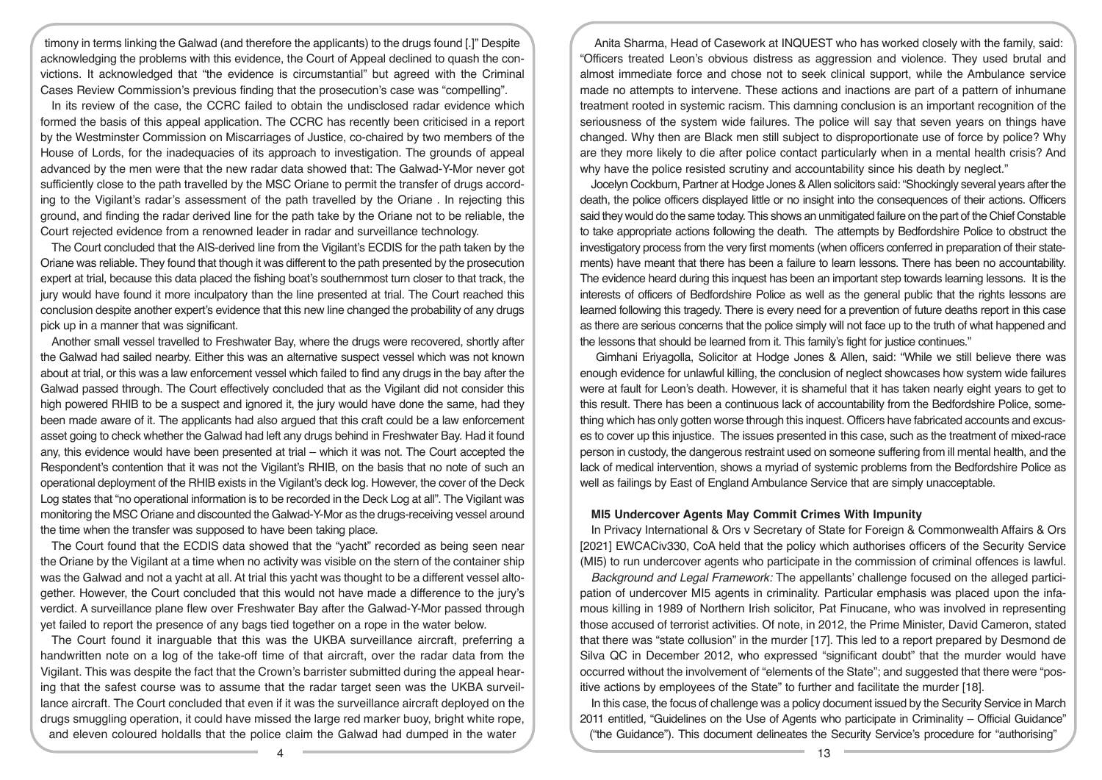timony in terms linking the Galwad (and therefore the applicants) to the drugs found [.]" Despite acknowledging the problems with this evidence, the Court of Appeal declined to quash the convictions. It acknowledged that "the evidence is circumstantial" but agreed with the Criminal Cases Review Commission's previous finding that the prosecution's case was "compelling".

In its review of the case, the CCRC failed to obtain the undisclosed radar evidence which formed the basis of this appeal application. The CCRC has recently been criticised in a report by the Westminster Commission on Miscarriages of Justice, co-chaired by two members of the House of Lords, for the inadequacies of its approach to investigation. The grounds of appeal advanced by the men were that the new radar data showed that: The Galwad-Y-Mor never got sufficiently close to the path travelled by the MSC Oriane to permit the transfer of drugs according to the Vigilant's radar's assessment of the path travelled by the Oriane . In rejecting this ground, and finding the radar derived line for the path take by the Oriane not to be reliable, the Court rejected evidence from a renowned leader in radar and surveillance technology.

The Court concluded that the AIS-derived line from the Vigilant's ECDIS for the path taken by the Oriane was reliable. They found that though it was different to the path presented by the prosecution expert at trial, because this data placed the fishing boat's southernmost turn closer to that track, the jury would have found it more inculpatory than the line presented at trial. The Court reached this conclusion despite another expert's evidence that this new line changed the probability of any drugs pick up in a manner that was significant.

Another small vessel travelled to Freshwater Bay, where the drugs were recovered, shortly after the Galwad had sailed nearby. Either this was an alternative suspect vessel which was not known about at trial, or this was a law enforcement vessel which failed to find any drugs in the bay after the Galwad passed through. The Court effectively concluded that as the Vigilant did not consider this high powered RHIB to be a suspect and ignored it, the jury would have done the same, had they been made aware of it. The applicants had also argued that this craft could be a law enforcement asset going to check whether the Galwad had left any drugs behind in Freshwater Bay. Had it found any, this evidence would have been presented at trial – which it was not. The Court accepted the Respondent's contention that it was not the Vigilant's RHIB, on the basis that no note of such an operational deployment of the RHIB exists in the Vigilant's deck log. However, the cover of the Deck Log states that "no operational information is to be recorded in the Deck Log at all". The Vigilant was monitoring the MSC Oriane and discounted the Galwad-Y-Mor as the drugs-receiving vessel around the time when the transfer was supposed to have been taking place.

The Court found that the ECDIS data showed that the "yacht" recorded as being seen near the Oriane by the Vigilant at a time when no activity was visible on the stern of the container ship was the Galwad and not a yacht at all. At trial this yacht was thought to be a different vessel altogether. However, the Court concluded that this would not have made a difference to the jury's verdict. A surveillance plane flew over Freshwater Bay after the Galwad-Y-Mor passed through yet failed to report the presence of any bags tied together on a rope in the water below.

The Court found it inarguable that this was the UKBA surveillance aircraft, preferring a handwritten note on a log of the take-off time of that aircraft, over the radar data from the Vigilant. This was despite the fact that the Crown's barrister submitted during the appeal hearing that the safest course was to assume that the radar target seen was the UKBA surveillance aircraft. The Court concluded that even if it was the surveillance aircraft deployed on the drugs smuggling operation, it could have missed the large red marker buoy, bright white rope, and eleven coloured holdalls that the police claim the Galwad had dumped in the water

Anita Sharma, Head of Casework at INQUEST who has worked closely with the family, said: "Officers treated Leon's obvious distress as aggression and violence. They used brutal and almost immediate force and chose not to seek clinical support, while the Ambulance service made no attempts to intervene. These actions and inactions are part of a pattern of inhumane treatment rooted in systemic racism. This damning conclusion is an important recognition of the seriousness of the system wide failures. The police will say that seven years on things have changed. Why then are Black men still subject to disproportionate use of force by police? Why are they more likely to die after police contact particularly when in a mental health crisis? And why have the police resisted scrutiny and accountability since his death by neglect."

Jocelyn Cockburn, Partner at Hodge Jones & Allen solicitors said: "Shockingly several years after the death, the police officers displayed little or no insight into the consequences of their actions. Officers said they would do the same today. This shows an unmitigated failure on the part of the Chief Constable to take appropriate actions following the death. The attempts by Bedfordshire Police to obstruct the investigatory process from the very first moments (when officers conferred in preparation of their statements) have meant that there has been a failure to learn lessons. There has been no accountability. The evidence heard during this inquest has been an important step towards learning lessons. It is the interests of officers of Bedfordshire Police as well as the general public that the rights lessons are learned following this tragedy. There is every need for a prevention of future deaths report in this case as there are serious concerns that the police simply will not face up to the truth of what happened and the lessons that should be learned from it. This family's fight for justice continues."

 Gimhani Eriyagolla, Solicitor at Hodge Jones & Allen, said: "While we still believe there was enough evidence for unlawful killing, the conclusion of neglect showcases how system wide failures were at fault for Leon's death. However, it is shameful that it has taken nearly eight years to get to this result. There has been a continuous lack of accountability from the Bedfordshire Police, something which has only gotten worse through this inquest. Officers have fabricated accounts and excuses to cover up this injustice. The issues presented in this case, such as the treatment of mixed-race person in custody, the dangerous restraint used on someone suffering from ill mental health, and the lack of medical intervention, shows a myriad of systemic problems from the Bedfordshire Police as well as failings by East of England Ambulance Service that are simply unacceptable.

# **MI5 Undercover Agents May Commit Crimes With Impunity**

In Privacy International & Ors v Secretary of State for Foreign & Commonwealth Affairs & Ors [2021] EWCACiv330, CoA held that the policy which authorises officers of the Security Service (MI5) to run undercover agents who participate in the commission of criminal offences is lawful.

*Background and Legal Framework:* The appellants' challenge focused on the alleged participation of undercover MI5 agents in criminality. Particular emphasis was placed upon the infamous killing in 1989 of Northern Irish solicitor, Pat Finucane, who was involved in representing those accused of terrorist activities. Of note, in 2012, the Prime Minister, David Cameron, stated that there was "state collusion" in the murder [17]. This led to a report prepared by Desmond de Silva QC in December 2012, who expressed "significant doubt" that the murder would have occurred without the involvement of "elements of the State"; and suggested that there were "positive actions by employees of the State" to further and facilitate the murder [18].

In this case, the focus of challenge was a policy document issued by the Security Service in March 2011 entitled, "Guidelines on the Use of Agents who participate in Criminality – Official Guidance" ("the Guidance"). This document delineates the Security Service's procedure for "authorising"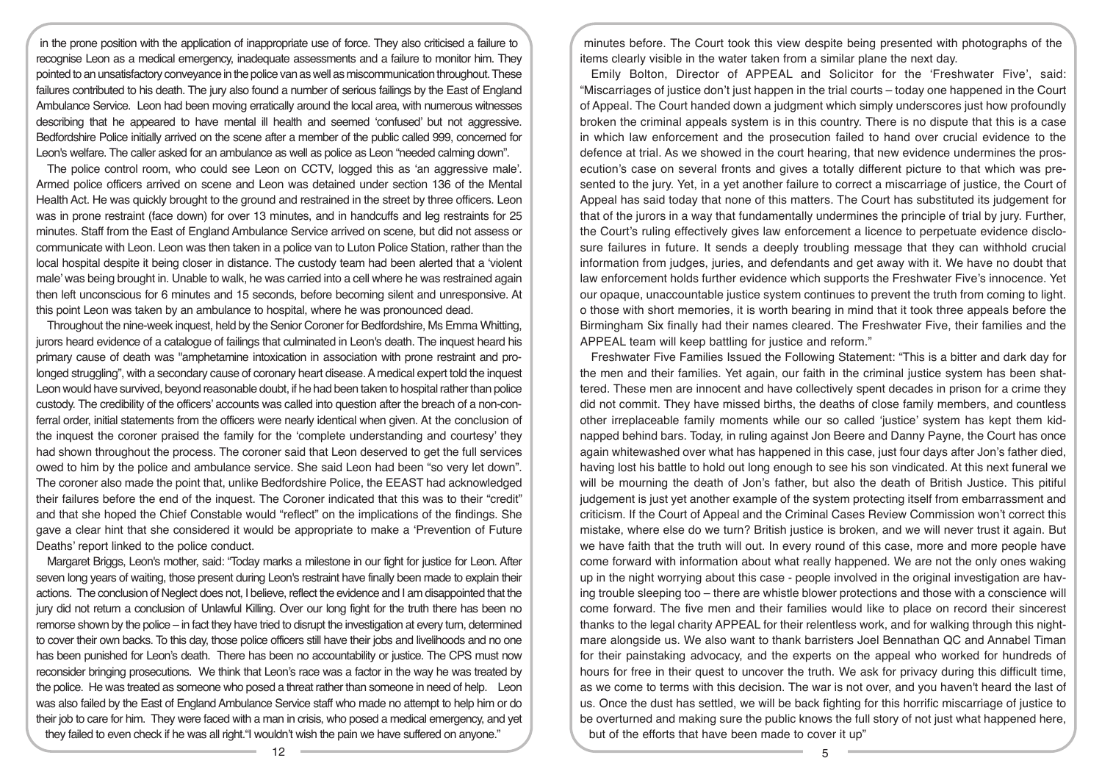in the prone position with the application of inappropriate use of force. They also criticised a failure to recognise Leon as a medical emergency, inadequate assessments and a failure to monitor him. They pointed to an unsatisfactory conveyance in the police van as well as miscommunication throughout. These failures contributed to his death. The jury also found a number of serious failings by the East of England Ambulance Service. Leon had been moving erratically around the local area, with numerous witnesses describing that he appeared to have mental ill health and seemed 'confused' but not aggressive. Bedfordshire Police initially arrived on the scene after a member of the public called 999, concerned for Leon's welfare. The caller asked for an ambulance as well as police as Leon "needed calming down".

The police control room, who could see Leon on CCTV, logged this as 'an aggressive male'. Armed police officers arrived on scene and Leon was detained under section 136 of the Mental Health Act. He was quickly brought to the ground and restrained in the street by three officers. Leon was in prone restraint (face down) for over 13 minutes, and in handcuffs and leg restraints for 25 minutes. Staff from the East of England Ambulance Service arrived on scene, but did not assess or communicate with Leon. Leon was then taken in a police van to Luton Police Station, rather than the local hospital despite it being closer in distance. The custody team had been alerted that a 'violent male' was being brought in. Unable to walk, he was carried into a cell where he was restrained again then left unconscious for 6 minutes and 15 seconds, before becoming silent and unresponsive. At this point Leon was taken by an ambulance to hospital, where he was pronounced dead.

Throughout the nine-week inquest, held by the Senior Coroner for Bedfordshire, Ms Emma Whitting, jurors heard evidence of a catalogue of failings that culminated in Leon's death. The inquest heard his primary cause of death was "amphetamine intoxication in association with prone restraint and prolonged struggling", with a secondary cause of coronary heart disease. A medical expert told the inquest Leon would have survived, beyond reasonable doubt, if he had been taken to hospital rather than police custody. The credibility of the officers' accounts was called into question after the breach of a non-conferral order, initial statements from the officers were nearly identical when given. At the conclusion of the inquest the coroner praised the family for the 'complete understanding and courtesy' they had shown throughout the process. The coroner said that Leon deserved to get the full services owed to him by the police and ambulance service. She said Leon had been "so very let down". The coroner also made the point that, unlike Bedfordshire Police, the EEAST had acknowledged their failures before the end of the inquest. The Coroner indicated that this was to their "credit" and that she hoped the Chief Constable would "reflect" on the implications of the findings. She gave a clear hint that she considered it would be appropriate to make a 'Prevention of Future Deaths' report linked to the police conduct.

Margaret Briggs, Leon's mother, said: "Today marks a milestone in our fight for justice for Leon. After seven long years of waiting, those present during Leon's restraint have finally been made to explain their actions. The conclusion of Neglect does not, I believe, reflect the evidence and I am disappointed that the jury did not return a conclusion of Unlawful Killing. Over our long fight for the truth there has been no remorse shown by the police – in fact they have tried to disrupt the investigation at every turn, determined to cover their own backs. To this day, those police officers still have their jobs and livelihoods and no one has been punished for Leon's death. There has been no accountability or justice. The CPS must now reconsider bringing prosecutions. We think that Leon's race was a factor in the way he was treated by the police. He was treated as someone who posed a threat rather than someone in need of help. Leon was also failed by the East of England Ambulance Service staff who made no attempt to help him or do their job to care for him. They were faced with a man in crisis, who posed a medical emergency, and yet they failed to even check if he was all right."I wouldn't wish the pain we have suffered on anyone."

minutes before. The Court took this view despite being presented with photographs of the items clearly visible in the water taken from a similar plane the next day.

Emily Bolton, Director of APPEAL and Solicitor for the 'Freshwater Five', said: "Miscarriages of justice don't just happen in the trial courts – today one happened in the Court of Appeal. The Court handed down a judgment which simply underscores just how profoundly broken the criminal appeals system is in this country. There is no dispute that this is a case in which law enforcement and the prosecution failed to hand over crucial evidence to the defence at trial. As we showed in the court hearing, that new evidence undermines the prosecution's case on several fronts and gives a totally different picture to that which was presented to the jury. Yet, in a yet another failure to correct a miscarriage of justice, the Court of Appeal has said today that none of this matters. The Court has substituted its judgement for that of the jurors in a way that fundamentally undermines the principle of trial by jury. Further, the Court's ruling effectively gives law enforcement a licence to perpetuate evidence disclosure failures in future. It sends a deeply troubling message that they can withhold crucial information from judges, juries, and defendants and get away with it. We have no doubt that law enforcement holds further evidence which supports the Freshwater Five's innocence. Yet our opaque, unaccountable justice system continues to prevent the truth from coming to light. o those with short memories, it is worth bearing in mind that it took three appeals before the Birmingham Six finally had their names cleared. The Freshwater Five, their families and the APPEAL team will keep battling for justice and reform."

Freshwater Five Families Issued the Following Statement: "This is a bitter and dark day for the men and their families. Yet again, our faith in the criminal justice system has been shattered. These men are innocent and have collectively spent decades in prison for a crime they did not commit. They have missed births, the deaths of close family members, and countless other irreplaceable family moments while our so called 'justice' system has kept them kidnapped behind bars. Today, in ruling against Jon Beere and Danny Payne, the Court has once again whitewashed over what has happened in this case, just four days after Jon's father died, having lost his battle to hold out long enough to see his son vindicated. At this next funeral we will be mourning the death of Jon's father, but also the death of British Justice. This pitiful judgement is just yet another example of the system protecting itself from embarrassment and criticism. If the Court of Appeal and the Criminal Cases Review Commission won't correct this mistake, where else do we turn? British justice is broken, and we will never trust it again. But we have faith that the truth will out. In every round of this case, more and more people have come forward with information about what really happened. We are not the only ones waking up in the night worrying about this case - people involved in the original investigation are having trouble sleeping too – there are whistle blower protections and those with a conscience will come forward. The five men and their families would like to place on record their sincerest thanks to the legal charity APPEAL for their relentless work, and for walking through this nightmare alongside us. We also want to thank barristers Joel Bennathan QC and Annabel Timan for their painstaking advocacy, and the experts on the appeal who worked for hundreds of hours for free in their quest to uncover the truth. We ask for privacy during this difficult time. as we come to terms with this decision. The war is not over, and you haven't heard the last of us. Once the dust has settled, we will be back fighting for this horrific miscarriage of justice to be overturned and making sure the public knows the full story of not just what happened here, but of the efforts that have been made to cover it up"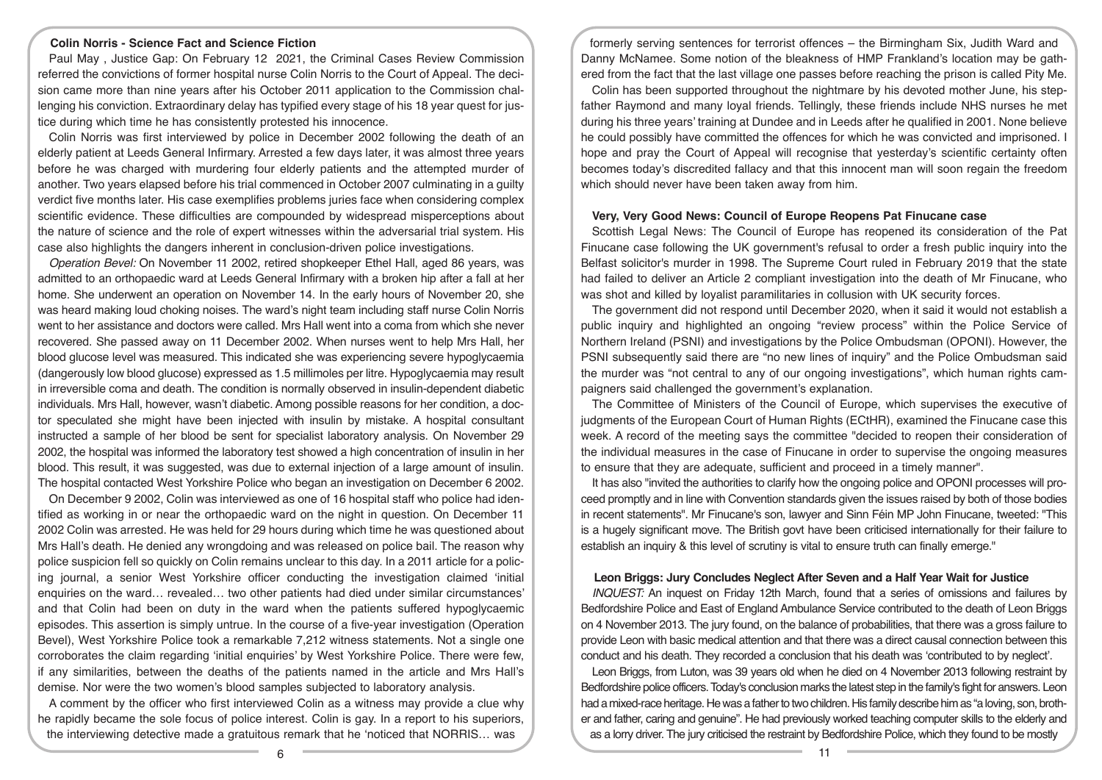# **Colin Norris - Science Fact and Science Fiction**

Paul May , Justice Gap: On February 12 2021, the Criminal Cases Review Commission referred the convictions of former hospital nurse Colin Norris to the Court of Appeal. The decision came more than nine years after his October 2011 application to the Commission challenging his conviction. Extraordinary delay has typified every stage of his 18 year quest for justice during which time he has consistently protested his innocence.

Colin Norris was first interviewed by police in December 2002 following the death of an elderly patient at Leeds General Infirmary. Arrested a few days later, it was almost three years before he was charged with murdering four elderly patients and the attempted murder of another. Two years elapsed before his trial commenced in October 2007 culminating in a guilty verdict five months later. His case exemplifies problems juries face when considering complex scientific evidence. These difficulties are compounded by widespread misperceptions about the nature of science and the role of expert witnesses within the adversarial trial system. His case also highlights the dangers inherent in conclusion-driven police investigations.

*Operation Bevel:* On November 11 2002, retired shopkeeper Ethel Hall, aged 86 years, was admitted to an orthopaedic ward at Leeds General Infirmary with a broken hip after a fall at her home. She underwent an operation on November 14. In the early hours of November 20, she was heard making loud choking noises. The ward's night team including staff nurse Colin Norris went to her assistance and doctors were called. Mrs Hall went into a coma from which she never recovered. She passed away on 11 December 2002. When nurses went to help Mrs Hall, her blood glucose level was measured. This indicated she was experiencing severe hypoglycaemia (dangerously low blood glucose) expressed as 1.5 millimoles per litre. Hypoglycaemia may result in irreversible coma and death. The condition is normally observed in insulin-dependent diabetic individuals. Mrs Hall, however, wasn't diabetic. Among possible reasons for her condition, a doctor speculated she might have been injected with insulin by mistake. A hospital consultant instructed a sample of her blood be sent for specialist laboratory analysis. On November 29 2002, the hospital was informed the laboratory test showed a high concentration of insulin in her blood. This result, it was suggested, was due to external injection of a large amount of insulin. The hospital contacted West Yorkshire Police who began an investigation on December 6 2002.

On December 9 2002, Colin was interviewed as one of 16 hospital staff who police had identified as working in or near the orthopaedic ward on the night in question. On December 11 2002 Colin was arrested. He was held for 29 hours during which time he was questioned about Mrs Hall's death. He denied any wrongdoing and was released on police bail. The reason why police suspicion fell so quickly on Colin remains unclear to this day. In a 2011 article for a policing journal, a senior West Yorkshire officer conducting the investigation claimed 'initial enquiries on the ward… revealed… two other patients had died under similar circumstances' and that Colin had been on duty in the ward when the patients suffered hypoglycaemic episodes. This assertion is simply untrue. In the course of a five-year investigation (Operation Bevel), West Yorkshire Police took a remarkable 7,212 witness statements. Not a single one corroborates the claim regarding 'initial enquiries' by West Yorkshire Police. There were few, if any similarities, between the deaths of the patients named in the article and Mrs Hall's demise. Nor were the two women's blood samples subjected to laboratory analysis.

A comment by the officer who first interviewed Colin as a witness may provide a clue why he rapidly became the sole focus of police interest. Colin is gay. In a report to his superiors, the interviewing detective made a gratuitous remark that he 'noticed that NORRIS… was

formerly serving sentences for terrorist offences – the Birmingham Six, Judith Ward and Danny McNamee. Some notion of the bleakness of HMP Frankland's location may be gathered from the fact that the last village one passes before reaching the prison is called Pity Me.

Colin has been supported throughout the nightmare by his devoted mother June, his stepfather Raymond and many loyal friends. Tellingly, these friends include NHS nurses he met during his three years' training at Dundee and in Leeds after he qualified in 2001. None believe he could possibly have committed the offences for which he was convicted and imprisoned. I hope and pray the Court of Appeal will recognise that yesterday's scientific certainty often becomes today's discredited fallacy and that this innocent man will soon regain the freedom which should never have been taken away from him.

#### **Very, Very Good News: Council of Europe Reopens Pat Finucane case**

Scottish Legal News: The Council of Europe has reopened its consideration of the Pat Finucane case following the UK government's refusal to order a fresh public inquiry into the Belfast solicitor's murder in 1998. The Supreme Court ruled in February 2019 that the state had failed to deliver an Article 2 compliant investigation into the death of Mr Finucane, who was shot and killed by loyalist paramilitaries in collusion with UK security forces.

The government did not respond until December 2020, when it said it would not establish a public inquiry and highlighted an ongoing "review process" within the Police Service of Northern Ireland (PSNI) and investigations by the Police Ombudsman (OPONI). However, the PSNI subsequently said there are "no new lines of inquiry" and the Police Ombudsman said the murder was "not central to any of our ongoing investigations", which human rights campaigners said challenged the government's explanation.

The Committee of Ministers of the Council of Europe, which supervises the executive of judgments of the European Court of Human Rights (ECtHR), examined the Finucane case this week. A record of the meeting says the committee "decided to reopen their consideration of the individual measures in the case of Finucane in order to supervise the ongoing measures to ensure that they are adequate, sufficient and proceed in a timely manner".

It has also "invited the authorities to clarify how the ongoing police and OPONI processes will proceed promptly and in line with Convention standards given the issues raised by both of those bodies in recent statements". Mr Finucane's son, lawyer and Sinn Féin MP John Finucane, tweeted: "This is a hugely significant move. The British govt have been criticised internationally for their failure to establish an inquiry & this level of scrutiny is vital to ensure truth can finally emerge."

## **Leon Briggs: Jury Concludes Neglect After Seven and a Half Year Wait for Justice**

*INQUEST:* An inquest on Friday 12th March, found that a series of omissions and failures by Bedfordshire Police and East of England Ambulance Service contributed to the death of Leon Briggs on 4 November 2013. The jury found, on the balance of probabilities, that there was a gross failure to provide Leon with basic medical attention and that there was a direct causal connection between this conduct and his death. They recorded a conclusion that his death was 'contributed to by neglect'.

Leon Briggs, from Luton, was 39 years old when he died on 4 November 2013 following restraint by Bedfordshire police officers. Today's conclusion marks the latest step in the family's fight for answers. Leon had a mixed-race heritage. He was a father to two children. His family describe him as "a loving, son, brother and father, caring and genuine". He had previously worked teaching computer skills to the elderly and as a lorry driver. The jury criticised the restraint by Bedfordshire Police, which they found to be mostly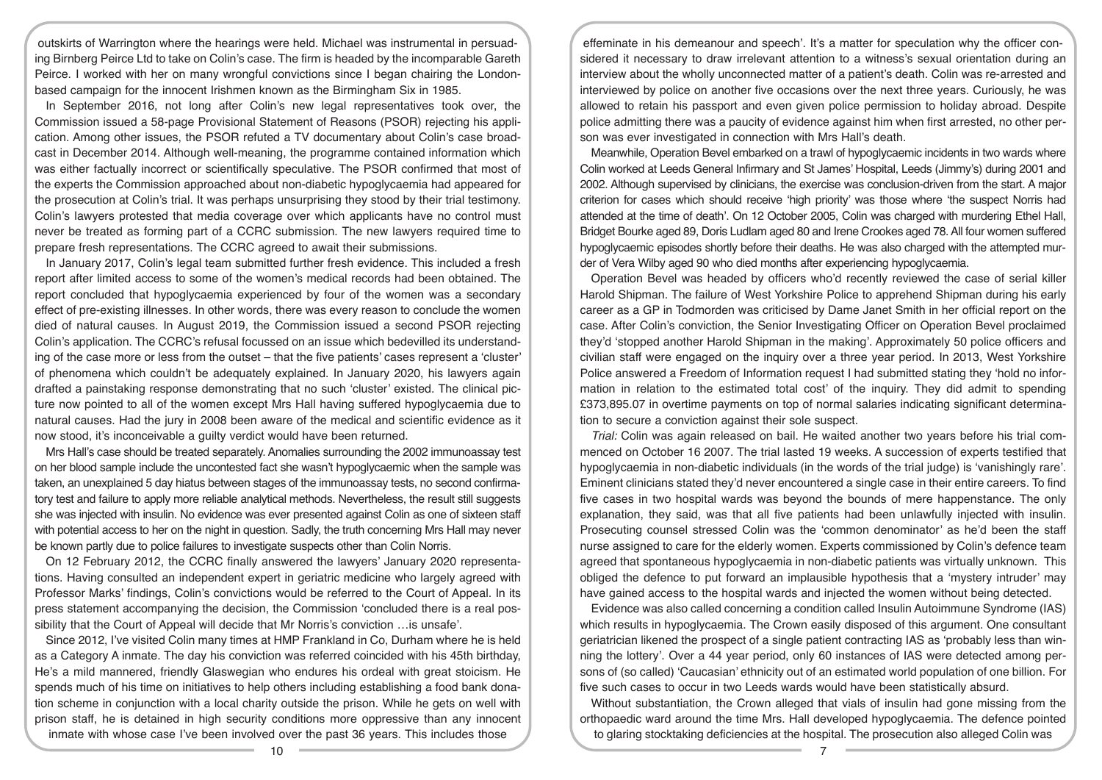outskirts of Warrington where the hearings were held. Michael was instrumental in persuading Birnberg Peirce Ltd to take on Colin's case. The firm is headed by the incomparable Gareth Peirce. I worked with her on many wrongful convictions since I began chairing the Londonbased campaign for the innocent Irishmen known as the Birmingham Six in 1985.

In September 2016, not long after Colin's new legal representatives took over, the Commission issued a 58-page Provisional Statement of Reasons (PSOR) rejecting his application. Among other issues, the PSOR refuted a TV documentary about Colin's case broadcast in December 2014. Although well-meaning, the programme contained information which was either factually incorrect or scientifically speculative. The PSOR confirmed that most of the experts the Commission approached about non-diabetic hypoglycaemia had appeared for the prosecution at Colin's trial. It was perhaps unsurprising they stood by their trial testimony. Colin's lawyers protested that media coverage over which applicants have no control must never be treated as forming part of a CCRC submission. The new lawyers required time to prepare fresh representations. The CCRC agreed to await their submissions.

In January 2017, Colin's legal team submitted further fresh evidence. This included a fresh report after limited access to some of the women's medical records had been obtained. The report concluded that hypoglycaemia experienced by four of the women was a secondary effect of pre-existing illnesses. In other words, there was every reason to conclude the women died of natural causes. In August 2019, the Commission issued a second PSOR rejecting Colin's application. The CCRC's refusal focussed on an issue which bedevilled its understanding of the case more or less from the outset – that the five patients' cases represent a 'cluster' of phenomena which couldn't be adequately explained. In January 2020, his lawyers again drafted a painstaking response demonstrating that no such 'cluster' existed. The clinical picture now pointed to all of the women except Mrs Hall having suffered hypoglycaemia due to natural causes. Had the jury in 2008 been aware of the medical and scientific evidence as it now stood, it's inconceivable a guilty verdict would have been returned.

Mrs Hall's case should be treated separately. Anomalies surrounding the 2002 immunoassay test on her blood sample include the uncontested fact she wasn't hypoglycaemic when the sample was taken, an unexplained 5 day hiatus between stages of the immunoassay tests, no second confirmatory test and failure to apply more reliable analytical methods. Nevertheless, the result still suggests she was injected with insulin. No evidence was ever presented against Colin as one of sixteen staff with potential access to her on the night in question. Sadly, the truth concerning Mrs Hall may never be known partly due to police failures to investigate suspects other than Colin Norris.

On 12 February 2012, the CCRC finally answered the lawyers' January 2020 representations. Having consulted an independent expert in geriatric medicine who largely agreed with Professor Marks' findings, Colin's convictions would be referred to the Court of Appeal. In its press statement accompanying the decision, the Commission 'concluded there is a real possibility that the Court of Appeal will decide that Mr Norris's conviction …is unsafe'.

Since 2012, I've visited Colin many times at HMP Frankland in Co, Durham where he is held as a Category A inmate. The day his conviction was referred coincided with his 45th birthday, He's a mild mannered, friendly Glaswegian who endures his ordeal with great stoicism. He spends much of his time on initiatives to help others including establishing a food bank donation scheme in conjunction with a local charity outside the prison. While he gets on well with prison staff, he is detained in high security conditions more oppressive than any innocent inmate with whose case I've been involved over the past 36 years. This includes those

effeminate in his demeanour and speech'. It's a matter for speculation why the officer considered it necessary to draw irrelevant attention to a witness's sexual orientation during an interview about the wholly unconnected matter of a patient's death. Colin was re-arrested and interviewed by police on another five occasions over the next three years. Curiously, he was allowed to retain his passport and even given police permission to holiday abroad. Despite police admitting there was a paucity of evidence against him when first arrested, no other person was ever investigated in connection with Mrs Hall's death.

Meanwhile, Operation Bevel embarked on a trawl of hypoglycaemic incidents in two wards where Colin worked at Leeds General Infirmary and St James' Hospital, Leeds (Jimmy's) during 2001 and 2002. Although supervised by clinicians, the exercise was conclusion-driven from the start. A major criterion for cases which should receive 'high priority' was those where 'the suspect Norris had attended at the time of death'. On 12 October 2005, Colin was charged with murdering Ethel Hall, Bridget Bourke aged 89, Doris Ludlam aged 80 and Irene Crookes aged 78. All four women suffered hypoglycaemic episodes shortly before their deaths. He was also charged with the attempted murder of Vera Wilby aged 90 who died months after experiencing hypoglycaemia.

Operation Bevel was headed by officers who'd recently reviewed the case of serial killer Harold Shipman. The failure of West Yorkshire Police to apprehend Shipman during his early career as a GP in Todmorden was criticised by Dame Janet Smith in her official report on the case. After Colin's conviction, the Senior Investigating Officer on Operation Bevel proclaimed they'd 'stopped another Harold Shipman in the making'. Approximately 50 police officers and civilian staff were engaged on the inquiry over a three year period. In 2013, West Yorkshire Police answered a Freedom of Information request I had submitted stating they 'hold no information in relation to the estimated total cost' of the inquiry. They did admit to spending £373,895.07 in overtime payments on top of normal salaries indicating significant determination to secure a conviction against their sole suspect.

*Trial:* Colin was again released on bail. He waited another two years before his trial commenced on October 16 2007. The trial lasted 19 weeks. A succession of experts testified that hypoglycaemia in non-diabetic individuals (in the words of the trial judge) is 'vanishingly rare'. Eminent clinicians stated they'd never encountered a single case in their entire careers. To find five cases in two hospital wards was beyond the bounds of mere happenstance. The only explanation, they said, was that all five patients had been unlawfully injected with insulin. Prosecuting counsel stressed Colin was the 'common denominator' as he'd been the staff nurse assigned to care for the elderly women. Experts commissioned by Colin's defence team agreed that spontaneous hypoglycaemia in non-diabetic patients was virtually unknown. This obliged the defence to put forward an implausible hypothesis that a 'mystery intruder' may have gained access to the hospital wards and injected the women without being detected.

Evidence was also called concerning a condition called Insulin Autoimmune Syndrome (IAS) which results in hypoglycaemia. The Crown easily disposed of this argument. One consultant geriatrician likened the prospect of a single patient contracting IAS as 'probably less than winning the lottery'. Over a 44 year period, only 60 instances of IAS were detected among persons of (so called) 'Caucasian' ethnicity out of an estimated world population of one billion. For five such cases to occur in two Leeds wards would have been statistically absurd.

Without substantiation, the Crown alleged that vials of insulin had gone missing from the orthopaedic ward around the time Mrs. Hall developed hypoglycaemia. The defence pointed to glaring stocktaking deficiencies at the hospital. The prosecution also alleged Colin was